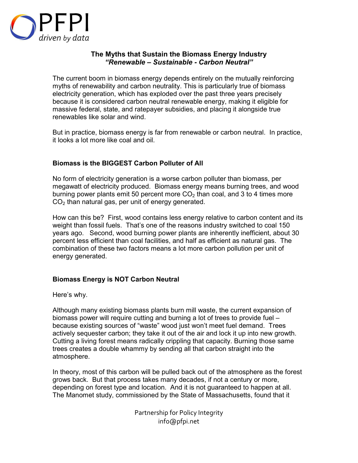

## **The Myths that Sustain the Biomass Energy Industry**  *"Renewable – Sustainable - Carbon Neutral"*

The current boom in biomass energy depends entirely on the mutually reinforcing myths of renewability and carbon neutrality. This is particularly true of biomass electricity generation, which has exploded over the past three years precisely because it is considered carbon neutral renewable energy, making it eligible for massive federal, state, and ratepayer subsidies, and placing it alongside true renewables like solar and wind.

But in practice, biomass energy is far from renewable or carbon neutral. In practice, it looks a lot more like coal and oil.

## **Biomass is the BIGGEST Carbon Polluter of All**

No form of electricity generation is a worse carbon polluter than biomass, per megawatt of electricity produced. Biomass energy means burning trees, and wood burning power plants emit 50 percent more  $CO<sub>2</sub>$  than coal, and 3 to 4 times more  $CO<sub>2</sub>$  than natural gas, per unit of energy generated.

How can this be? First, wood contains less energy relative to carbon content and its weight than fossil fuels. That's one of the reasons industry switched to coal 150 years ago. Second, wood burning power plants are inherently inefficient, about 30 percent less efficient than coal facilities, and half as efficient as natural gas. The combination of these two factors means a lot more carbon pollution per unit of energy generated.

## **Biomass Energy is NOT Carbon Neutral**

Here's why.

Although many existing biomass plants burn mill waste, the current expansion of biomass power will require cutting and burning a lot of trees to provide fuel – because existing sources of "waste" wood just won't meet fuel demand. Trees actively sequester carbon; they take it out of the air and lock it up into new growth. Cutting a living forest means radically crippling that capacity. Burning those same trees creates a double whammy by sending all that carbon straight into the atmosphere.

In theory, most of this carbon will be pulled back out of the atmosphere as the forest grows back. But that process takes many decades, if not a century or more, depending on forest type and location. And it is not guaranteed to happen at all. The Manomet study, commissioned by the State of Massachusetts, found that it

> Partnership for Policy Integrity info@pfpi.net